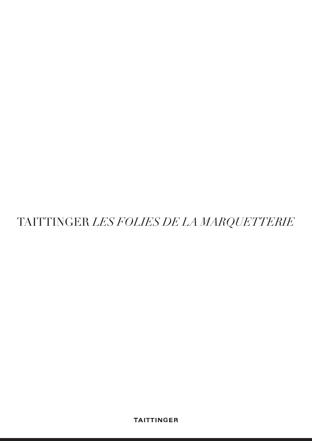TAITTINGER *LES FOLIES DE LA MARQUETTERIE*

**TAITTINGER**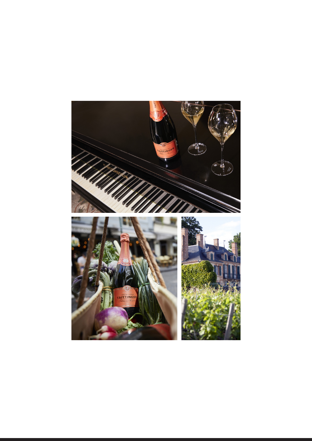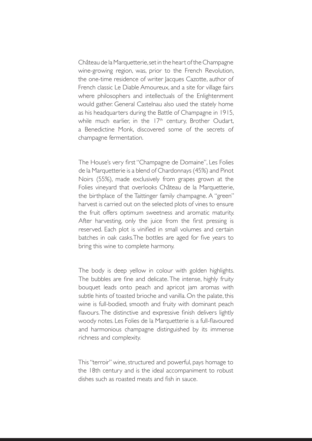Château de la Marquetterie, set in the heart of the Champagne wine-growing region, was, prior to the French Revolution, the one-time residence of writer Jacques Cazotte, author of French classic Le Diable Amoureux, and a site for village fairs where philosophers and intellectuals of the Enlightenment would gather. General Castelnau also used the stately home as his headquarters during the Battle of Champagne in 1915, while much earlier, in the  $17<sup>th</sup>$  century, Brother Oudart, a Benedictine Monk, discovered some of the secrets of champagne fermentation.

The House's very first "Champagne de Domaine", Les Folies de la Marquetterie is a blend of Chardonnays (45%) and Pinot Noirs (55%), made exclusively from grapes grown at the Folies vineyard that overlooks Château de la Marquetterie, the birthplace of the Taittinger family champagne. A "green" harvest is carried out on the selected plots of vines to ensure the fruit offers optimum sweetness and aromatic maturity. After harvesting, only the juice from the first pressing is reserved. Each plot is vinified in small volumes and certain batches in oak casks.The bottles are aged for five years to bring this wine to complete harmony.

The body is deep yellow in colour with golden highlights. The bubbles are fine and delicate. The intense, highly fruity bouquet leads onto peach and apricot jam aromas with subtle hints of toasted brioche and vanilla. On the palate, this wine is full-bodied, smooth and fruity with dominant peach flavours. The distinctive and expressive finish delivers lightly woody notes. Les Folies de la Marquetterie is a full-flavoured and harmonious champagne distinguished by its immense richness and complexity.

This "terroir" wine, structured and powerful, pays homage to the 18th century and is the ideal accompaniment to robust dishes such as roasted meats and fish in sauce.